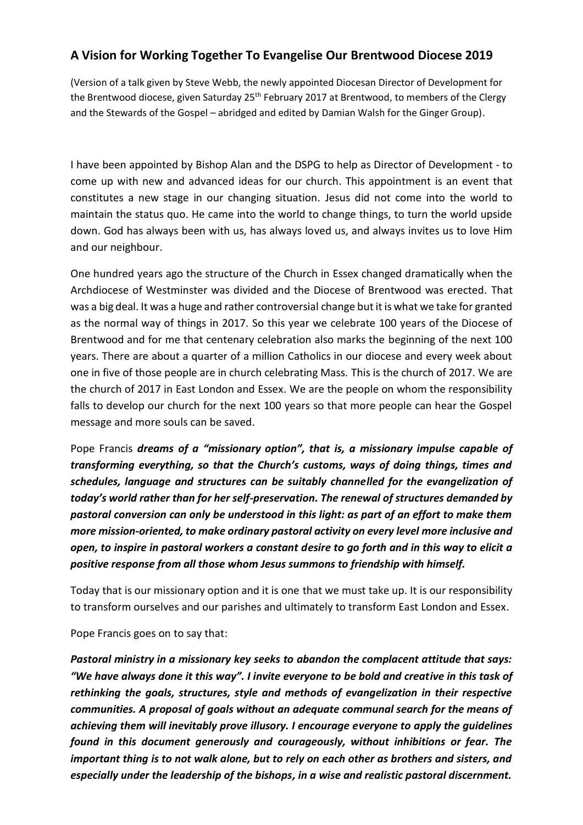## **A Vision for Working Together To Evangelise Our Brentwood Diocese 2019**

(Version of a talk given by Steve Webb, the newly appointed Diocesan Director of Development for the Brentwood diocese, given Saturday 25<sup>th</sup> February 2017 at Brentwood, to members of the Clergy and the Stewards of the Gospel – abridged and edited by Damian Walsh for the Ginger Group).

I have been appointed by Bishop Alan and the DSPG to help as Director of Development - to come up with new and advanced ideas for our church. This appointment is an event that constitutes a new stage in our changing situation. Jesus did not come into the world to maintain the status quo. He came into the world to change things, to turn the world upside down. God has always been with us, has always loved us, and always invites us to love Him and our neighbour.

One hundred years ago the structure of the Church in Essex changed dramatically when the Archdiocese of Westminster was divided and the Diocese of Brentwood was erected. That was a big deal. It was a huge and rather controversial change but it is what we take for granted as the normal way of things in 2017. So this year we celebrate 100 years of the Diocese of Brentwood and for me that centenary celebration also marks the beginning of the next 100 years. There are about a quarter of a million Catholics in our diocese and every week about one in five of those people are in church celebrating Mass. This is the church of 2017. We are the church of 2017 in East London and Essex. We are the people on whom the responsibility falls to develop our church for the next 100 years so that more people can hear the Gospel message and more souls can be saved.

Pope Francis *dreams of a "missionary option", that is, a missionary impulse capable of transforming everything, so that the Church's customs, ways of doing things, times and schedules, language and structures can be suitably channelled for the evangelization of today's world rather than for her self-preservation. The renewal of structures demanded by pastoral conversion can only be understood in this light: as part of an effort to make them more mission-oriented, to make ordinary pastoral activity on every level more inclusive and open, to inspire in pastoral workers a constant desire to go forth and in this way to elicit a positive response from all those whom Jesus summons to friendship with himself.*

Today that is our missionary option and it is one that we must take up. It is our responsibility to transform ourselves and our parishes and ultimately to transform East London and Essex.

Pope Francis goes on to say that:

*Pastoral ministry in a missionary key seeks to abandon the complacent attitude that says: "We have always done it this way". I invite everyone to be bold and creative in this task of rethinking the goals, structures, style and methods of evangelization in their respective communities. A proposal of goals without an adequate communal search for the means of achieving them will inevitably prove illusory. I encourage everyone to apply the guidelines found in this document generously and courageously, without inhibitions or fear. The important thing is to not walk alone, but to rely on each other as brothers and sisters, and especially under the leadership of the bishops, in a wise and realistic pastoral discernment.*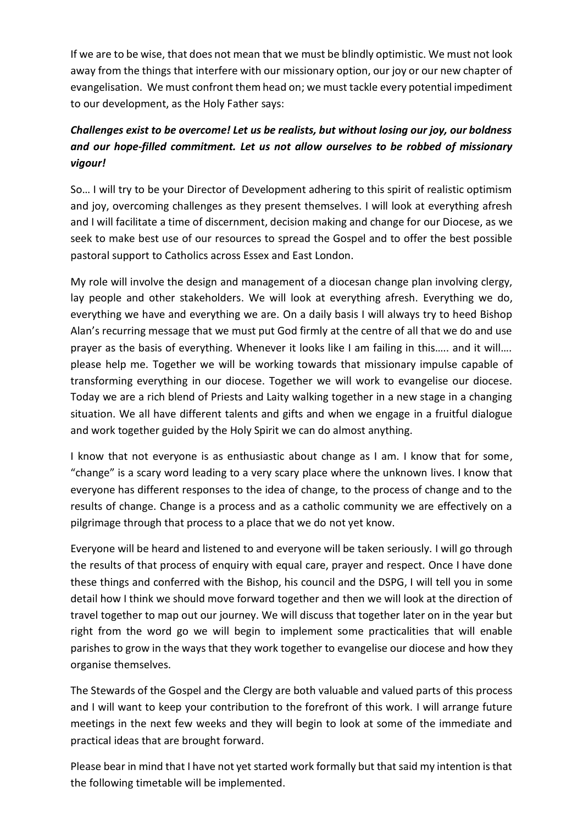If we are to be wise, that does not mean that we must be blindly optimistic. We must not look away from the things that interfere with our missionary option, our joy or our new chapter of evangelisation. We must confront them head on; we must tackle every potential impediment to our development, as the Holy Father says:

## *Challenges exist to be overcome! Let us be realists, but without losing our joy, our boldness and our hope-filled commitment. Let us not allow ourselves to be robbed of missionary vigour!*

So… I will try to be your Director of Development adhering to this spirit of realistic optimism and joy, overcoming challenges as they present themselves. I will look at everything afresh and I will facilitate a time of discernment, decision making and change for our Diocese, as we seek to make best use of our resources to spread the Gospel and to offer the best possible pastoral support to Catholics across Essex and East London.

My role will involve the design and management of a diocesan change plan involving clergy, lay people and other stakeholders. We will look at everything afresh. Everything we do, everything we have and everything we are. On a daily basis I will always try to heed Bishop Alan's recurring message that we must put God firmly at the centre of all that we do and use prayer as the basis of everything. Whenever it looks like I am failing in this….. and it will.... please help me. Together we will be working towards that missionary impulse capable of transforming everything in our diocese. Together we will work to evangelise our diocese. Today we are a rich blend of Priests and Laity walking together in a new stage in a changing situation. We all have different talents and gifts and when we engage in a fruitful dialogue and work together guided by the Holy Spirit we can do almost anything.

I know that not everyone is as enthusiastic about change as I am. I know that for some, "change" is a scary word leading to a very scary place where the unknown lives. I know that everyone has different responses to the idea of change, to the process of change and to the results of change. Change is a process and as a catholic community we are effectively on a pilgrimage through that process to a place that we do not yet know.

Everyone will be heard and listened to and everyone will be taken seriously. I will go through the results of that process of enquiry with equal care, prayer and respect. Once I have done these things and conferred with the Bishop, his council and the DSPG, I will tell you in some detail how I think we should move forward together and then we will look at the direction of travel together to map out our journey. We will discuss that together later on in the year but right from the word go we will begin to implement some practicalities that will enable parishes to grow in the ways that they work together to evangelise our diocese and how they organise themselves.

The Stewards of the Gospel and the Clergy are both valuable and valued parts of this process and I will want to keep your contribution to the forefront of this work. I will arrange future meetings in the next few weeks and they will begin to look at some of the immediate and practical ideas that are brought forward.

Please bear in mind that I have not yet started work formally but that said my intention is that the following timetable will be implemented.